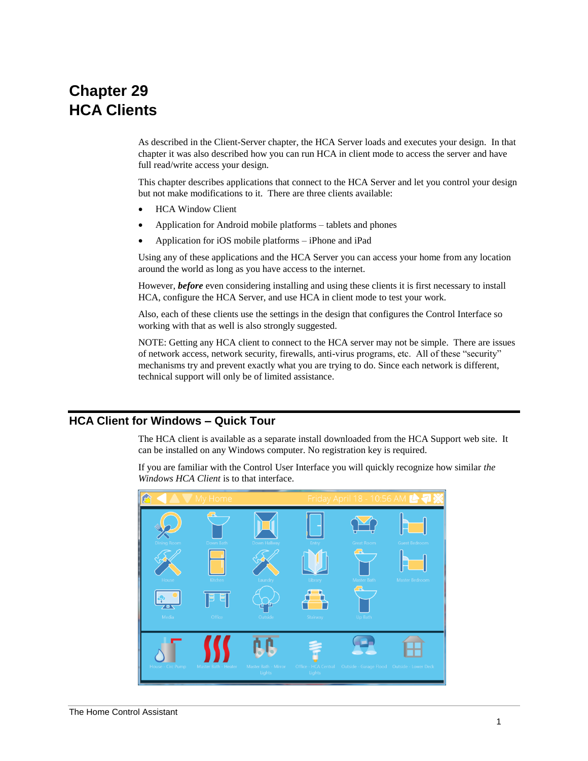# **Chapter 29 HCA Clients**

As described in the Client-Server chapter, the HCA Server loads and executes your design. In that chapter it was also described how you can run HCA in client mode to access the server and have full read/write access your design.

This chapter describes applications that connect to the HCA Server and let you control your design but not make modifications to it. There are three clients available:

- HCA Window Client
- Application for Android mobile platforms tablets and phones
- Application for iOS mobile platforms iPhone and iPad

Using any of these applications and the HCA Server you can access your home from any location around the world as long as you have access to the internet.

However, *before* even considering installing and using these clients it is first necessary to install HCA, configure the HCA Server, and use HCA in client mode to test your work.

Also, each of these clients use the settings in the design that configures the Control Interface so working with that as well is also strongly suggested.

NOTE: Getting any HCA client to connect to the HCA server may not be simple. There are issues of network access, network security, firewalls, anti-virus programs, etc. All of these "security" mechanisms try and prevent exactly what you are trying to do. Since each network is different, technical support will only be of limited assistance.

# **HCA Client for Windows – Quick Tour**

The HCA client is available as a separate install downloaded from the HCA Support web site. It can be installed on any Windows computer. No registration key is required.

If you are familiar with the Control User Interface you will quickly recognize how similar *the Windows HCA Client* is to that interface.

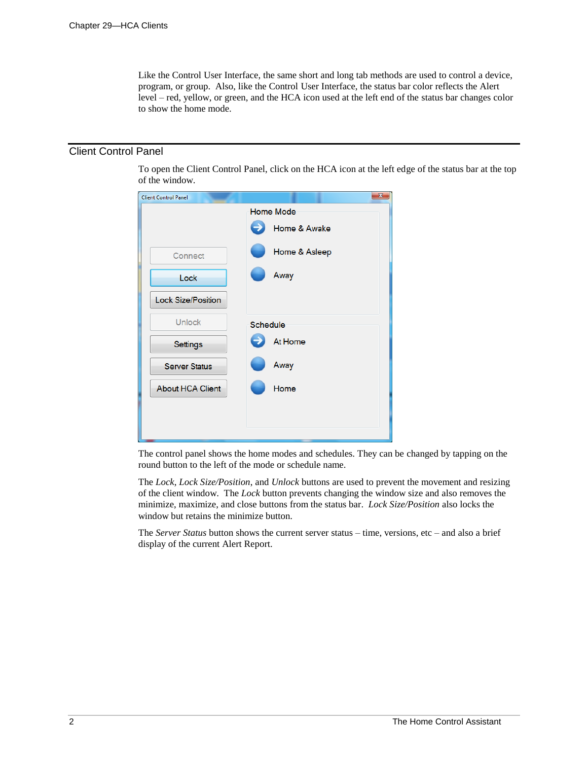Like the Control User Interface, the same short and long tab methods are used to control a device, program, or group. Also, like the Control User Interface, the status bar color reflects the Alert level – red, yellow, or green, and the HCA icon used at the left end of the status bar changes color to show the home mode.

## Client Control Panel

To open the Client Control Panel, click on the HCA icon at the left edge of the status bar at the top of the window.

| <b>Client Control Panel</b> | $\overline{\mathbf{x}}$ |
|-----------------------------|-------------------------|
|                             | <b>Home Mode</b>        |
|                             | Home & Awake            |
| Connect                     | Home & Asleep           |
| Lock                        | Away                    |
| <b>Lock Size/Position</b>   |                         |
| <b>Unlock</b>               | Schedule                |
| Settings                    | At Home                 |
| <b>Server Status</b>        | Away                    |
| <b>About HCA Client</b>     | Home                    |
|                             |                         |
|                             |                         |

The control panel shows the home modes and schedules. They can be changed by tapping on the round button to the left of the mode or schedule name.

The *Lock*, *Lock Size/Position*, and *Unlock* buttons are used to prevent the movement and resizing of the client window. The *Lock* button prevents changing the window size and also removes the minimize, maximize, and close buttons from the status bar. *Lock Size/Position* also locks the window but retains the minimize button.

The *Server Status* button shows the current server status – time, versions, etc – and also a brief display of the current Alert Report.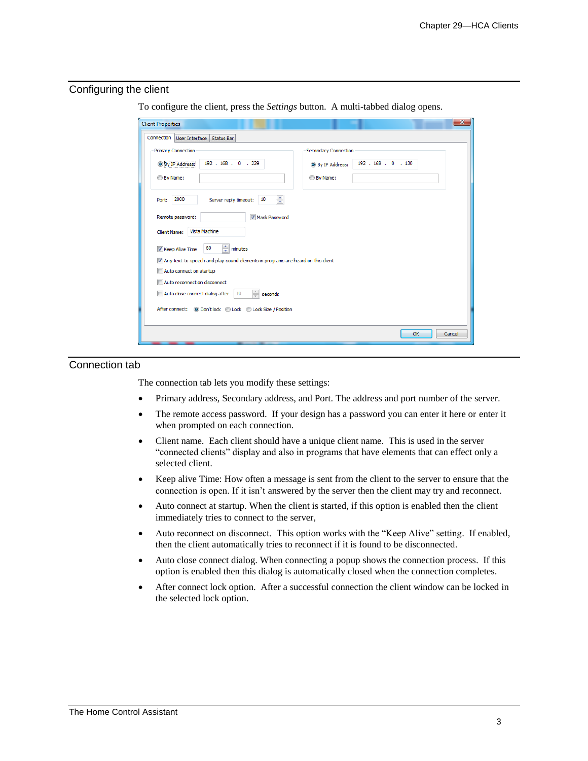#### Configuring the client

To configure the client, press the *Settings* button. A multi-tabbed dialog opens.

| <b>Client Properties</b>                                                        |                             |                     | $-\mathbf{x}$ |  |
|---------------------------------------------------------------------------------|-----------------------------|---------------------|---------------|--|
| Connection<br>User Interface<br><b>Status Bar</b>                               |                             |                     |               |  |
| <b>Primary Connection</b>                                                       | <b>Secondary Connection</b> |                     |               |  |
| 192 . 168 . 0 . 229<br><sup>O</sup> By IP Address:                              | <b>O</b> By IP Address:     | 192 . 168 . 0 . 130 |               |  |
| <b>By Name:</b>                                                                 | <b>By Name:</b>             |                     |               |  |
| $\div$<br>2000<br>Server reply timeout:<br>10<br>Port:                          |                             |                     |               |  |
| Remote password:<br>Mask Password                                               |                             |                     |               |  |
| Vista Machine<br>Client Name:                                                   |                             |                     |               |  |
| $\Rightarrow$ minutes<br>60<br>V Keep Alive Time                                |                             |                     |               |  |
| Any text-to-speech and play-sound elements in programs are heard on this client |                             |                     |               |  |
| Auto connect on startup                                                         |                             |                     |               |  |
| Auto reconnect on disconnect                                                    |                             |                     |               |  |
| $\frac{1}{\sqrt{2}}$<br>Auto close connect dialog after<br>10<br>seconds        |                             |                     |               |  |
| After connect: @ Don't lock @ Lock @ Lock Size / Position                       |                             |                     |               |  |
|                                                                                 |                             |                     |               |  |
|                                                                                 |                             | OK                  | Cancel        |  |

### Connection tab

The connection tab lets you modify these settings:

- Primary address, Secondary address, and Port. The address and port number of the server.
- The remote access password. If your design has a password you can enter it here or enter it when prompted on each connection.
- Client name. Each client should have a unique client name. This is used in the server "connected clients" display and also in programs that have elements that can effect only a selected client.
- Keep alive Time: How often a message is sent from the client to the server to ensure that the connection is open. If it isn't answered by the server then the client may try and reconnect.
- Auto connect at startup. When the client is started, if this option is enabled then the client immediately tries to connect to the server,
- Auto reconnect on disconnect. This option works with the "Keep Alive" setting. If enabled, then the client automatically tries to reconnect if it is found to be disconnected.
- Auto close connect dialog. When connecting a popup shows the connection process. If this option is enabled then this dialog is automatically closed when the connection completes.
- After connect lock option. After a successful connection the client window can be locked in the selected lock option.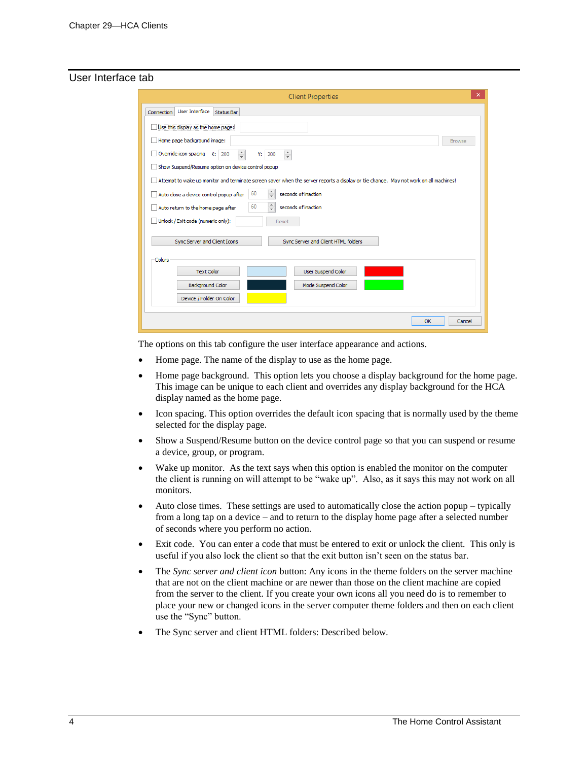#### User Interface tab

| ×<br><b>Client Properties</b>                                                                                                         |               |  |
|---------------------------------------------------------------------------------------------------------------------------------------|---------------|--|
| User Interface Status Bar<br><b>Connection</b>                                                                                        |               |  |
| Use this display as the home page:                                                                                                    |               |  |
| Home page background image:                                                                                                           | <b>Browse</b> |  |
| $\frac{a}{\pi}$<br>Override icon spacing X: 200<br>$\frac{1}{\pi}$<br>200<br>Y:                                                       |               |  |
| Show Suspend/Resume option on device control popup                                                                                    |               |  |
| Attempt to wake up monitor and terminate screen saver when the server reports a display or tile change. May not work on all machines! |               |  |
| $\frac{1}{\pi}$<br>60<br>seconds of inaction<br>Auto close a device control popup after                                               |               |  |
| $\frac{1}{\pi}$<br>60<br>seconds of inaction<br>Auto return to the home page after                                                    |               |  |
| Unlock / Exit code (numeric only):<br>Reset                                                                                           |               |  |
| Sync Server and Client Icons<br>Sync Server and Client HTML folders                                                                   |               |  |
| Colors                                                                                                                                |               |  |
| <b>Text Color</b><br><b>User Suspend Color</b>                                                                                        |               |  |
| <b>Background Color</b><br>Mode Suspend Color                                                                                         |               |  |
| Device / Folder On Color                                                                                                              |               |  |
| OK                                                                                                                                    | Cancel        |  |

The options on this tab configure the user interface appearance and actions.

- Home page. The name of the display to use as the home page.
- Home page background. This option lets you choose a display background for the home page. This image can be unique to each client and overrides any display background for the HCA display named as the home page.
- Icon spacing. This option overrides the default icon spacing that is normally used by the theme selected for the display page.
- Show a Suspend/Resume button on the device control page so that you can suspend or resume a device, group, or program.
- Wake up monitor. As the text says when this option is enabled the monitor on the computer the client is running on will attempt to be "wake up". Also, as it says this may not work on all monitors.
- Auto close times. These settings are used to automatically close the action popup typically from a long tap on a device – and to return to the display home page after a selected number of seconds where you perform no action.
- Exit code. You can enter a code that must be entered to exit or unlock the client. This only is useful if you also lock the client so that the exit button isn't seen on the status bar.
- The *Sync server and client icon* button: Any icons in the theme folders on the server machine that are not on the client machine or are newer than those on the client machine are copied from the server to the client. If you create your own icons all you need do is to remember to place your new or changed icons in the server computer theme folders and then on each client use the "Sync" button.
- The Sync server and client HTML folders: Described below.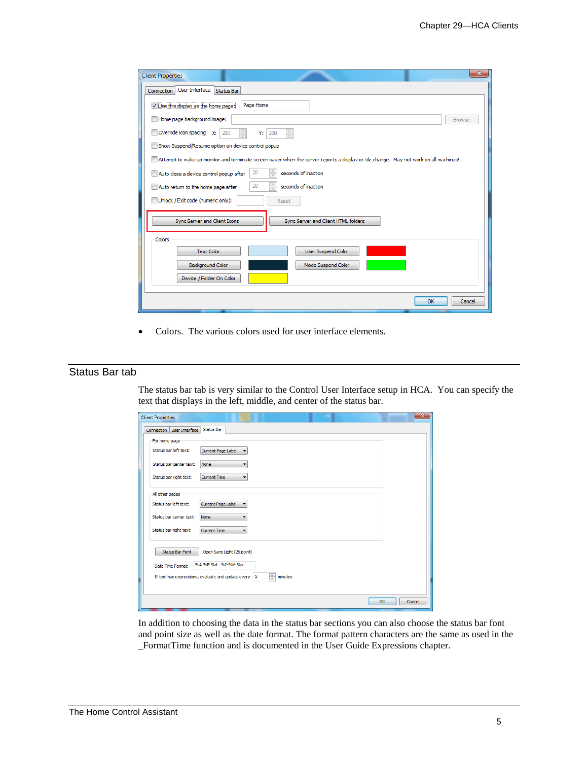| $\mathbf{x}$<br><b>Client Properties</b>                                                                                              |  |  |
|---------------------------------------------------------------------------------------------------------------------------------------|--|--|
| User Interface<br>Connection<br><b>Status Bar</b>                                                                                     |  |  |
| Use this display as the home page:<br>Page Home                                                                                       |  |  |
| Home page background image:<br><b>Browse</b>                                                                                          |  |  |
| $\frac{\triangle}{\tau}$<br>$\frac{\triangle}{\tau}$<br>Override icon spacing $x: 200$<br>Y:<br>200                                   |  |  |
| Show Suspend/Resume option on device control popup                                                                                    |  |  |
| Attempt to wake up monitor and terminate screen saver when the server reports a display or tile change. May not work on all machines! |  |  |
| $\frac{\triangle}{\tau}$<br>20<br>seconds of inaction<br>Auto close a device control popup after                                      |  |  |
| $\frac{\triangle}{\tau}$<br>20<br>seconds of inaction<br>Auto return to the home page after                                           |  |  |
| Unlock / Exit code (numeric only):<br>Reset                                                                                           |  |  |
| Sync Server and Client Icons<br>Sync Server and Client HTML folders                                                                   |  |  |
| Colors                                                                                                                                |  |  |
| User Suspend Color<br><b>Text Color</b>                                                                                               |  |  |
| <b>Background Color</b><br>Mode Suspend Color                                                                                         |  |  |
| Device / Folder On Color                                                                                                              |  |  |
| OK<br>Cancel                                                                                                                          |  |  |

• Colors. The various colors used for user interface elements.

## Status Bar tab

The status bar tab is very similar to the Control User Interface setup in HCA. You can specify the text that displays in the left, middle, and center of the status bar.

| <b>Client Properties</b>                                             | $-\mathbf{x}$ |
|----------------------------------------------------------------------|---------------|
| Status Bar<br>User Interface<br>Connection                           |               |
| For home page                                                        |               |
| Status bar left text:<br>Current Page Label                          |               |
| Status bar center text:<br>None                                      |               |
| Status bar right text:<br><b>Current Time</b><br>-                   |               |
| All other pages                                                      |               |
| Current Page Label<br>Status bar left text:                          |               |
| Status bar center text:<br>None                                      |               |
| Status bar right text:<br><b>Current Time</b>                        |               |
| <b>Status Bar Font</b><br>Open Sans Light (26 point)                 |               |
| %A %B %d - %I: %M %p<br>Date Time Format:                            |               |
| ÷<br>If text has expressions, evaluate and update every 5<br>minutes |               |
|                                                                      |               |
| OK                                                                   | Cancel        |

In addition to choosing the data in the status bar sections you can also choose the status bar font and point size as well as the date format. The format pattern characters are the same as used in the \_FormatTime function and is documented in the User Guide Expressions chapter.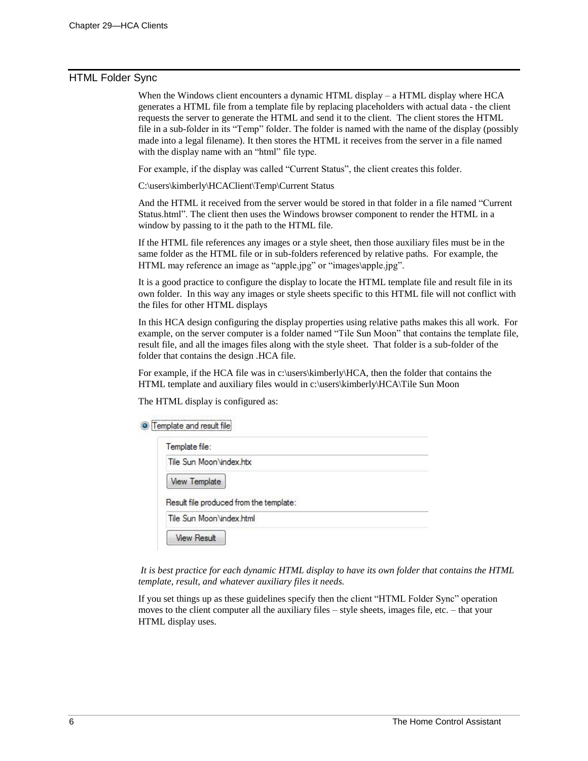#### HTML Folder Sync

When the Windows client encounters a dynamic HTML display – a HTML display where HCA generates a HTML file from a template file by replacing placeholders with actual data - the client requests the server to generate the HTML and send it to the client. The client stores the HTML file in a sub-folder in its "Temp" folder. The folder is named with the name of the display (possibly made into a legal filename). It then stores the HTML it receives from the server in a file named with the display name with an "html" file type.

For example, if the display was called "Current Status", the client creates this folder.

C:\users\kimberly\HCAClient\Temp\Current Status

And the HTML it received from the server would be stored in that folder in a file named "Current Status.html". The client then uses the Windows browser component to render the HTML in a window by passing to it the path to the HTML file.

If the HTML file references any images or a style sheet, then those auxiliary files must be in the same folder as the HTML file or in sub-folders referenced by relative paths. For example, the HTML may reference an image as "apple.jpg" or "images\apple.jpg".

It is a good practice to configure the display to locate the HTML template file and result file in its own folder. In this way any images or style sheets specific to this HTML file will not conflict with the files for other HTML displays

In this HCA design configuring the display properties using relative paths makes this all work. For example, on the server computer is a folder named "Tile Sun Moon" that contains the template file, result file, and all the images files along with the style sheet. That folder is a sub-folder of the folder that contains the design .HCA file.

For example, if the HCA file was in c:\users\kimberly\HCA, then the folder that contains the HTML template and auxiliary files would in c:\users\kimberly\HCA\Tile Sun Moon

The HTML display is configured as:

**O** Template and result file

| Tile Sun Moon \index.htx                |  |
|-----------------------------------------|--|
| <b>View Template</b>                    |  |
| Result file produced from the template: |  |

*It is best practice for each dynamic HTML display to have its own folder that contains the HTML template, result, and whatever auxiliary files it needs.*

If you set things up as these guidelines specify then the client "HTML Folder Sync" operation moves to the client computer all the auxiliary files – style sheets, images file, etc. – that your HTML display uses.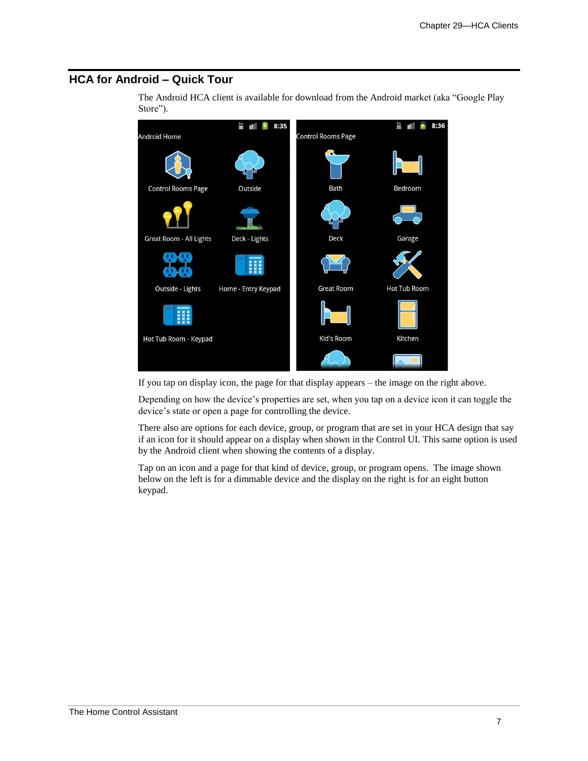## **HCA for Android – Quick Tour**

The Android HCA client is available for download from the Android market (aka "Google Play Store").



If you tap on display icon, the page for that display appears – the image on the right above.

Depending on how the device's properties are set, when you tap on a device icon it can toggle the device's state or open a page for controlling the device.

There also are options for each device, group, or program that are set in your HCA design that say if an icon for it should appear on a display when shown in the Control UI. This same option is used by the Android client when showing the contents of a display.

Tap on an icon and a page for that kind of device, group, or program opens. The image shown below on the left is for a dimmable device and the display on the right is for an eight button keypad.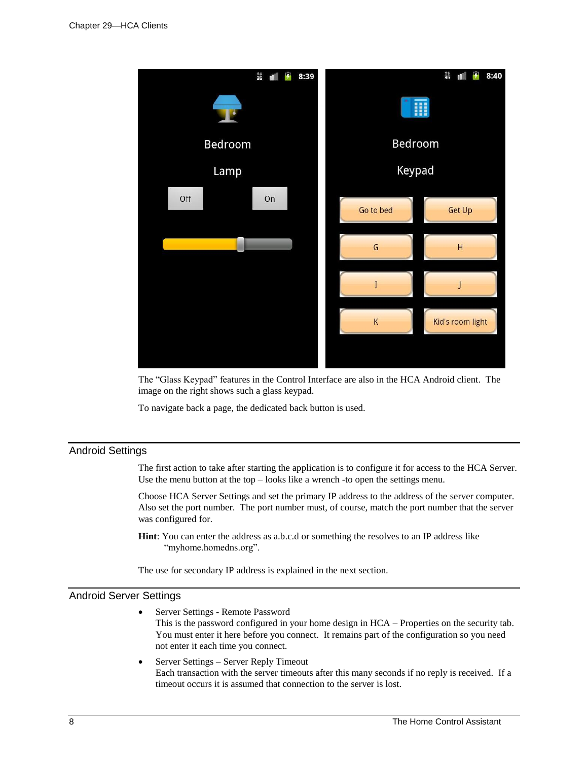

The "Glass Keypad" features in the Control Interface are also in the HCA Android client. The image on the right shows such a glass keypad.

To navigate back a page, the dedicated back button is used.

## Android Settings

The first action to take after starting the application is to configure it for access to the HCA Server. Use the menu button at the top – looks like a wrench -to open the settings menu.

Choose HCA Server Settings and set the primary IP address to the address of the server computer. Also set the port number. The port number must, of course, match the port number that the server was configured for.

**Hint**: You can enter the address as a.b.c.d or something the resolves to an IP address like "myhome.homedns.org".

The use for secondary IP address is explained in the next section.

#### Android Server Settings

• Server Settings - Remote Password

This is the password configured in your home design in HCA – Properties on the security tab. You must enter it here before you connect. It remains part of the configuration so you need not enter it each time you connect.

• Server Settings – Server Reply Timeout Each transaction with the server timeouts after this many seconds if no reply is received. If a timeout occurs it is assumed that connection to the server is lost.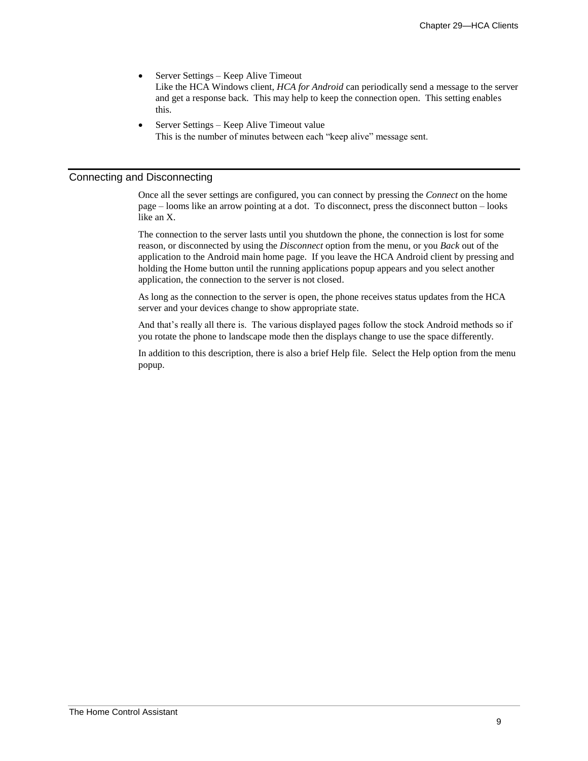• Server Settings – Keep Alive Timeout

Like the HCA Windows client, *HCA for Android* can periodically send a message to the server and get a response back. This may help to keep the connection open. This setting enables this.

• Server Settings – Keep Alive Timeout value This is the number of minutes between each "keep alive" message sent.

#### Connecting and Disconnecting

Once all the sever settings are configured, you can connect by pressing the *Connect* on the home page – looms like an arrow pointing at a dot. To disconnect, press the disconnect button – looks like an X.

The connection to the server lasts until you shutdown the phone, the connection is lost for some reason, or disconnected by using the *Disconnect* option from the menu, or you *Back* out of the application to the Android main home page. If you leave the HCA Android client by pressing and holding the Home button until the running applications popup appears and you select another application, the connection to the server is not closed.

As long as the connection to the server is open, the phone receives status updates from the HCA server and your devices change to show appropriate state.

And that's really all there is. The various displayed pages follow the stock Android methods so if you rotate the phone to landscape mode then the displays change to use the space differently.

In addition to this description, there is also a brief Help file. Select the Help option from the menu popup.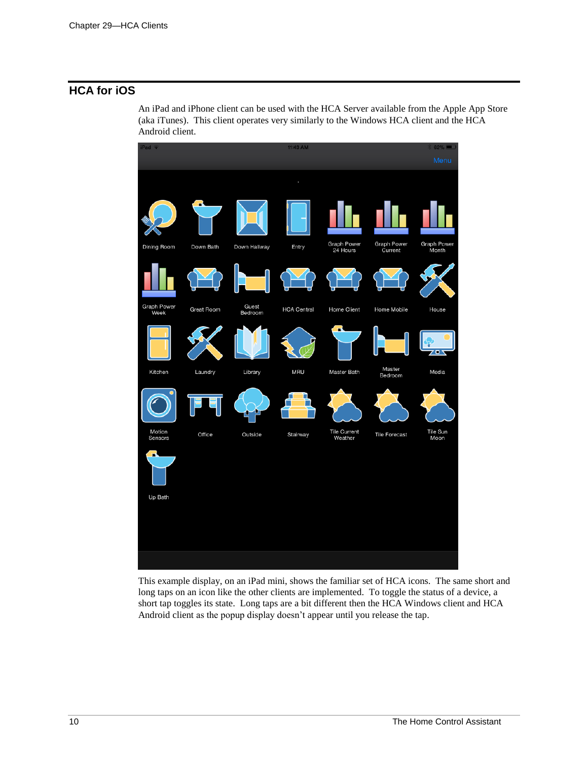# **HCA for iOS**

An iPad and iPhone client can be used with the HCA Server available from the Apple App Store (aka iTunes). This client operates very similarly to the Windows HCA client and the HCA Android client.



This example display, on an iPad mini, shows the familiar set of HCA icons. The same short and long taps on an icon like the other clients are implemented. To toggle the status of a device, a short tap toggles its state. Long taps are a bit different then the HCA Windows client and HCA Android client as the popup display doesn't appear until you release the tap.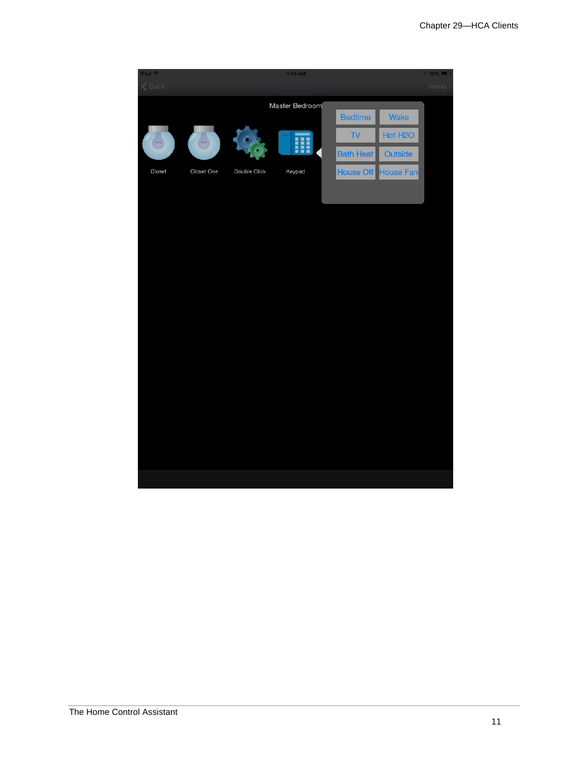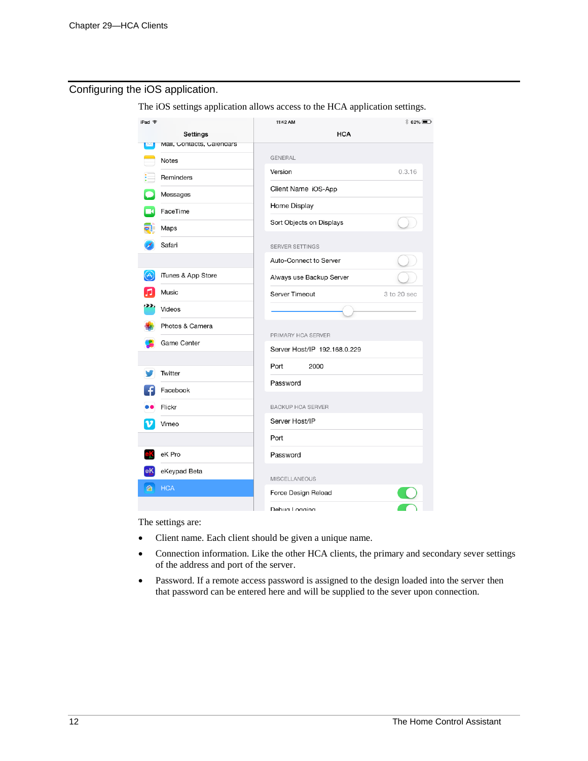## Configuring the iOS application.

The iOS settings application allows access to the HCA application settings.

| iPad 令                         | 11:42 AM                                           | $$62\%$ $\Box$ |
|--------------------------------|----------------------------------------------------|----------------|
| Settings                       | <b>HCA</b>                                         |                |
| Mail, Contacts, Calendars<br>ळ |                                                    |                |
| <b>Notes</b>                   | GENERAL                                            |                |
| Reminders                      | Version                                            | 0.3.16         |
| Messages                       | Client Name iOS-App                                |                |
| FaceTime                       | Home Display                                       |                |
| Maps                           | Sort Objects on Displays                           |                |
| Safari                         | SERVER SETTINGS                                    |                |
|                                | Auto-Connect to Server                             |                |
| iTunes & App Store             | Always use Backup Server                           |                |
| Music                          | Server Timeout                                     | 3 to 20 sec    |
| Videos                         |                                                    |                |
| Photos & Camera                |                                                    |                |
| Game Center                    | PRIMARY HCA SERVER<br>Server Host/IP 192.168.0.229 |                |
|                                |                                                    |                |
| Twitter                        | Port<br>2000                                       |                |
| Facebook                       | Password                                           |                |
| Flickr                         | <b>BACKUP HCA SERVER</b>                           |                |
| Vimeo                          | Server Host/IP                                     |                |
|                                | Port                                               |                |
| eK Pro                         | Password                                           |                |
| eKeypad Beta                   | <b>MISCELLANEOUS</b>                               |                |
| <b>HCA</b><br>仚                | Force Design Reload                                |                |
|                                | Debua Logaina                                      |                |

The settings are:

- Client name. Each client should be given a unique name.
- Connection information. Like the other HCA clients, the primary and secondary sever settings of the address and port of the server.
- Password. If a remote access password is assigned to the design loaded into the server then that password can be entered here and will be supplied to the sever upon connection.